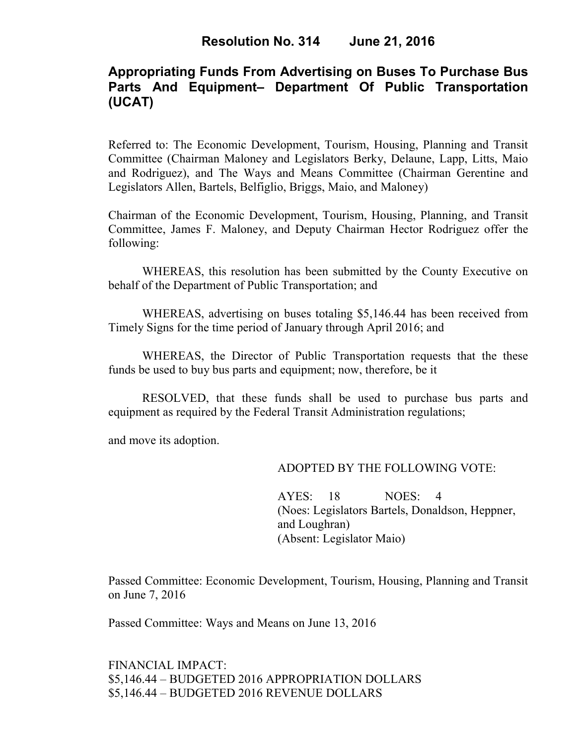# **Appropriating Funds From Advertising on Buses To Purchase Bus Parts And Equipment– Department Of Public Transportation (UCAT)**

Referred to: The Economic Development, Tourism, Housing, Planning and Transit Committee (Chairman Maloney and Legislators Berky, Delaune, Lapp, Litts, Maio and Rodriguez), and The Ways and Means Committee (Chairman Gerentine and Legislators Allen, Bartels, Belfiglio, Briggs, Maio, and Maloney)

Chairman of the Economic Development, Tourism, Housing, Planning, and Transit Committee, James F. Maloney, and Deputy Chairman Hector Rodriguez offer the following:

WHEREAS, this resolution has been submitted by the County Executive on behalf of the Department of Public Transportation; and

WHEREAS, advertising on buses totaling \$5,146.44 has been received from Timely Signs for the time period of January through April 2016; and

WHEREAS, the Director of Public Transportation requests that the these funds be used to buy bus parts and equipment; now, therefore, be it

RESOLVED, that these funds shall be used to purchase bus parts and equipment as required by the Federal Transit Administration regulations;

and move its adoption.

#### ADOPTED BY THE FOLLOWING VOTE:

AYES: 18 NOES: 4 (Noes: Legislators Bartels, Donaldson, Heppner, and Loughran) (Absent: Legislator Maio)

Passed Committee: Economic Development, Tourism, Housing, Planning and Transit on June 7, 2016

Passed Committee: Ways and Means on June 13, 2016

FINANCIAL IMPACT: \$5,146.44 – BUDGETED 2016 APPROPRIATION DOLLARS \$5,146.44 – BUDGETED 2016 REVENUE DOLLARS